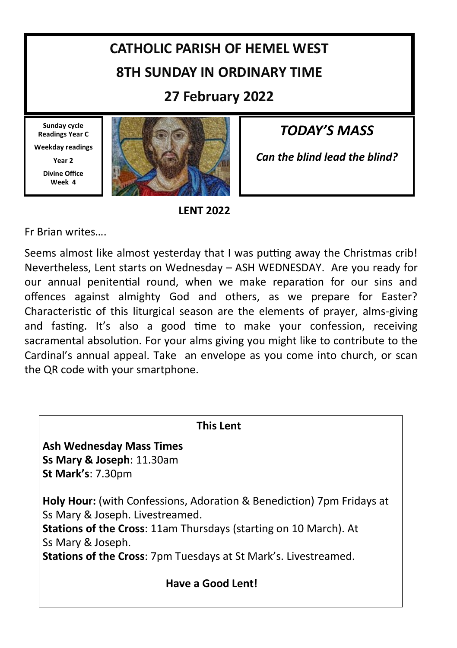# **CATHOLIC PARISH OF HEMEL WEST 8TH SUNDAY IN ORDINARY TIME**

**27 February 2022**

**Sunday cycle Readings Year C Weekday readings** 

**Year 2**

**Divine Office Week 4**



*TODAY'S MASS*

*Can the blind lead the blind?*

**LENT 2022**

Fr Brian writes….

Seems almost like almost yesterday that I was putting away the Christmas crib! Nevertheless, Lent starts on Wednesday – ASH WEDNESDAY. Are you ready for our annual penitential round, when we make reparation for our sins and offences against almighty God and others, as we prepare for Easter? Characteristic of this liturgical season are the elements of prayer, alms-giving and fasting. It's also a good time to make your confession, receiving sacramental absolution. For your alms giving you might like to contribute to the Cardinal's annual appeal. Take an envelope as you come into church, or scan the QR code with your smartphone.

| <b>This Lent</b>                                                                                                                                                                                                                                                                   |  |  |  |  |
|------------------------------------------------------------------------------------------------------------------------------------------------------------------------------------------------------------------------------------------------------------------------------------|--|--|--|--|
| <b>Ash Wednesday Mass Times</b><br>Ss Mary & Joseph: 11.30am<br>St Mark's: 7.30pm                                                                                                                                                                                                  |  |  |  |  |
| Holy Hour: (with Confessions, Adoration & Benediction) 7pm Fridays at<br>Ss Mary & Joseph. Livestreamed.<br><b>Stations of the Cross: 11am Thursdays (starting on 10 March). At</b><br>Ss Mary & Joseph.<br><b>Stations of the Cross: 7pm Tuesdays at St Mark's. Livestreamed.</b> |  |  |  |  |
| Have a Good Lent!                                                                                                                                                                                                                                                                  |  |  |  |  |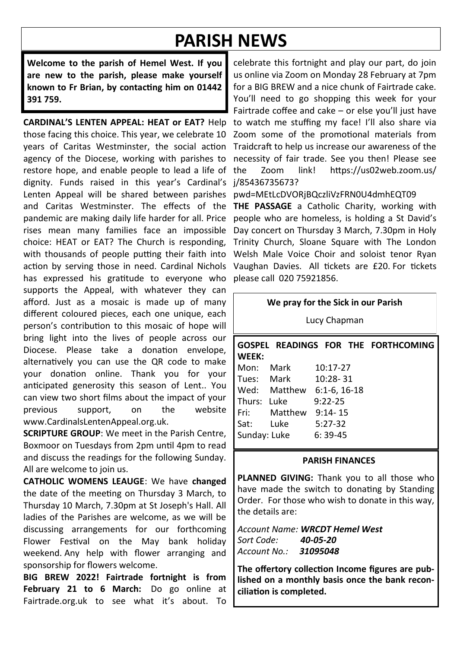## **PARISH NEWS**

**Welcome to the parish of Hemel West. If you are new to the parish, please make yourself known to Fr Brian, by contacting him on 01442 391 759.**

**CARDINAL'S LENTEN APPEAL: HEAT or EAT?** Help those facing this choice. This year, we celebrate 10 years of Caritas Westminster, the social action agency of the Diocese, working with parishes to restore hope, and enable people to lead a life of dignity. Funds raised in this year's Cardinal's Lenten Appeal will be shared between parishes and Caritas Westminster. The effects of the pandemic are making daily life harder for all. Price rises mean many families face an impossible choice: HEAT or EAT? The Church is responding, with thousands of people putting their faith into action by serving those in need. Cardinal Nichols has expressed his gratitude to everyone who supports the Appeal, with whatever they can afford. Just as a mosaic is made up of many different coloured pieces, each one unique, each person's contribution to this mosaic of hope will bring light into the lives of people across our Diocese. Please take a donation envelope, alternatively you can use the QR code to make your donation online. Thank you for your anticipated generosity this season of Lent.. You can view two short films about the impact of your previous support, on the website www.CardinalsLentenAppeal.org.uk.

**SCRIPTURE GROUP**: We meet in the Parish Centre, Boxmoor on Tuesdays from 2pm until 4pm to read and discuss the readings for the following Sunday. All are welcome to join us.

**CATHOLIC WOMENS LEAUGE**: We have **changed**  the date of the meeting on Thursday 3 March, to Thursday 10 March, 7.30pm at St Joseph's Hall. All ladies of the Parishes are welcome, as we will be discussing arrangements for our forthcoming Flower Festival on the May bank holiday weekend. Any help with flower arranging and sponsorship for flowers welcome.

**BIG BREW 2022! Fairtrade fortnight is from February 21 to 6 March:** Do go online at Fairtrade.org.uk to see what it's about. To

celebrate this fortnight and play our part, do join us online via Zoom on Monday 28 February at 7pm for a BIG BREW and a nice chunk of Fairtrade cake. You'll need to go shopping this week for your Fairtrade coffee and cake – or else you'll just have to watch me stuffing my face! I'll also share via Zoom some of the promotional materials from Traidcraft to help us increase our awareness of the necessity of fair trade. See you then! Please see the Zoom link! https://us02web.zoom.us/ j/85436735673?

pwd=MEtLcDVORjBQczliVzFRN0U4dmhEQT09

**THE PASSAGE** a Catholic Charity, working with people who are homeless, is holding a St David's Day concert on Thursday 3 March, 7.30pm in Holy Trinity Church, Sloane Square with The London Welsh Male Voice Choir and soloist tenor Ryan Vaughan Davies. All tickets are £20. For tickets please call 020 75921856.

#### **We pray for the Sick in our Parish**

Lucy Chapman

#### **GOSPEL READINGS FOR THE FORTHCOMING WEEK:**

| Mon:         | Mark    | 10:17-27       |  |
|--------------|---------|----------------|--|
| Tues:        | Mark    | $10:28 - 31$   |  |
| Wed:         | Matthew | $6:1-6, 16-18$ |  |
| Thurs:       | Luke    | $9:22 - 25$    |  |
| Fri:         | Matthew | $9:14 - 15$    |  |
| Sat:         | Luke    | $5:27-32$      |  |
| Sunday: Luke |         | $6:39-45$      |  |

#### **PARISH FINANCES**

**PLANNED GIVING:** Thank you to all those who have made the switch to donating by Standing Order. For those who wish to donate in this way, the details are:

*Account Name: WRCDT Hemel West Sort Code: 40-05-20 Account No.: 31095048*

**The offertory collection Income figures are published on a monthly basis once the bank reconciliation is completed.**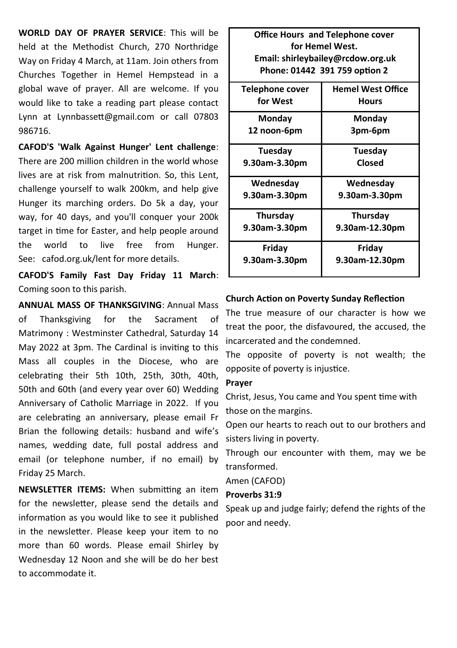**WORLD DAY OF PRAYER SERVICE**: This will be held at the Methodist Church, 270 Northridge Way on Friday 4 March, at 11am. Join others from Churches Together in Hemel Hempstead in a global wave of prayer. All are welcome. If you would like to take a reading part please contact Lynn at Lynnbassett@gmail.com or call 07803 986716.

**CAFOD'S 'Walk Against Hunger' Lent challenge**: There are 200 million children in the world whose lives are at risk from malnutrition. So, this Lent, challenge yourself to walk 200km, and help give Hunger its marching orders. Do 5k a day, your way, for 40 days, and you'll conquer your 200k target in time for Easter, and help people around the world to live free from Hunger. See: cafod.org.uk/lent for more details.

**CAFOD'S Family Fast Day Friday 11 March**: Coming soon to this parish.

**ANNUAL MASS OF THANKSGIVING**: Annual Mass of Thanksgiving for the Sacrament of Matrimony : Westminster Cathedral, Saturday 14 May 2022 at 3pm. The Cardinal is inviting to this Mass all couples in the Diocese, who are celebrating their 5th 10th, 25th, 30th, 40th, 50th and 60th (and every year over 60) Wedding Anniversary of Catholic Marriage in 2022. If you are celebrating an anniversary, please email Fr Brian the following details: husband and wife's names, wedding date, full postal address and email (or telephone number, if no email) by Friday 25 March.

**NEWSLETTER ITEMS:** When submitting an item for the newsletter, please send the details and information as you would like to see it published in the newsletter. Please keep your item to no more than 60 words. Please email Shirley by Wednesday 12 Noon and she will be do her best to accommodate it.

| <b>Office Hours and Telephone cover</b>     |                |  |  |  |
|---------------------------------------------|----------------|--|--|--|
| for Hemel West.                             |                |  |  |  |
| Email: shirleybailey@rcdow.org.uk           |                |  |  |  |
| Phone: 01442 391 759 option 2               |                |  |  |  |
| <b>Hemel West Office</b><br>Telephone cover |                |  |  |  |
| for West                                    | Hours          |  |  |  |
| Monday                                      | Monday         |  |  |  |
| 12 noon-6pm                                 | 3pm-6pm        |  |  |  |
| Tuesday                                     | Tuesday        |  |  |  |
| 9.30am-3.30pm                               | Closed         |  |  |  |
| Wednesday                                   | Wednesday      |  |  |  |
| 9.30am-3.30pm                               | 9.30am-3.30pm  |  |  |  |
| Thursday                                    | Thursday       |  |  |  |
| 9.30am-3.30pm                               | 9.30am-12.30pm |  |  |  |
| Friday                                      | Friday         |  |  |  |
| 9.30am-3.30pm                               | 9.30am-12.30pm |  |  |  |

#### **Church Action on Poverty Sunday Reflection**

The true measure of our character is how we treat the poor, the disfavoured, the accused, the incarcerated and the condemned.

The opposite of poverty is not wealth; the opposite of poverty is injustice.

#### **Prayer**

Christ, Jesus, You came and You spent time with those on the margins.

Open our hearts to reach out to our brothers and sisters living in poverty.

Through our encounter with them, may we be transformed.

Amen (CAFOD)

#### **Proverbs 31:9**

Speak up and judge fairly; defend the rights of the poor and needy.